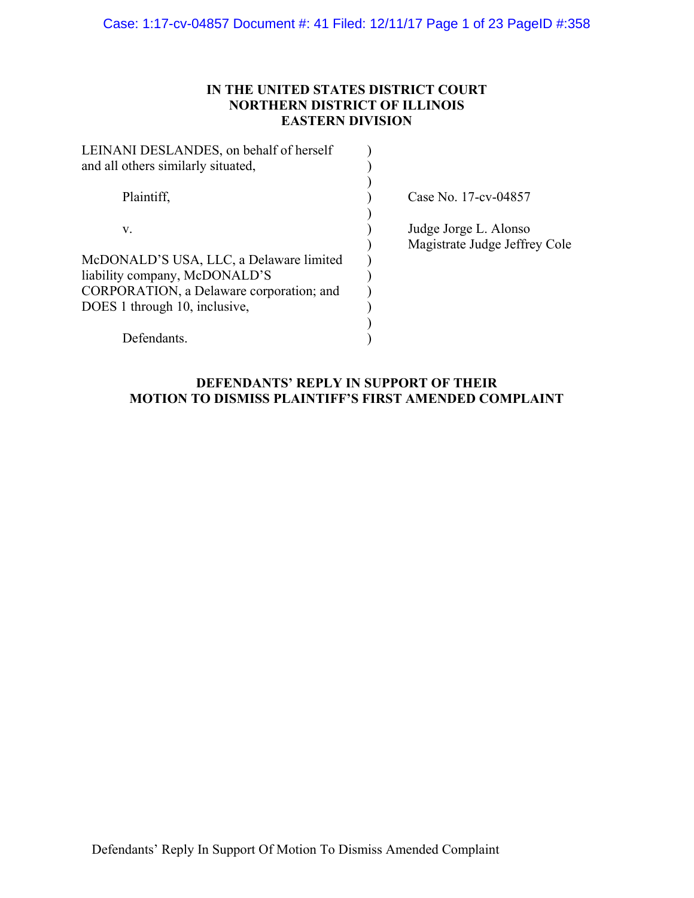## **IN THE UNITED STATES DISTRICT COURT NORTHERN DISTRICT OF ILLINOIS EASTERN DIVISION**

| LEINANI DESLANDES, on behalf of herself<br>and all others similarly situated, |                                                        |
|-------------------------------------------------------------------------------|--------------------------------------------------------|
| Plaintiff,                                                                    | Case No. 17-cv-04857                                   |
| V.                                                                            | Judge Jorge L. Alonso<br>Magistrate Judge Jeffrey Cole |
| McDONALD'S USA, LLC, a Delaware limited                                       |                                                        |
| liability company, McDONALD'S                                                 |                                                        |
| CORPORATION, a Delaware corporation; and                                      |                                                        |
| DOES 1 through 10, inclusive,                                                 |                                                        |
|                                                                               |                                                        |
| Defendants.                                                                   |                                                        |

## **DEFENDANTS' REPLY IN SUPPORT OF THEIR MOTION TO DISMISS PLAINTIFF'S FIRST AMENDED COMPLAINT**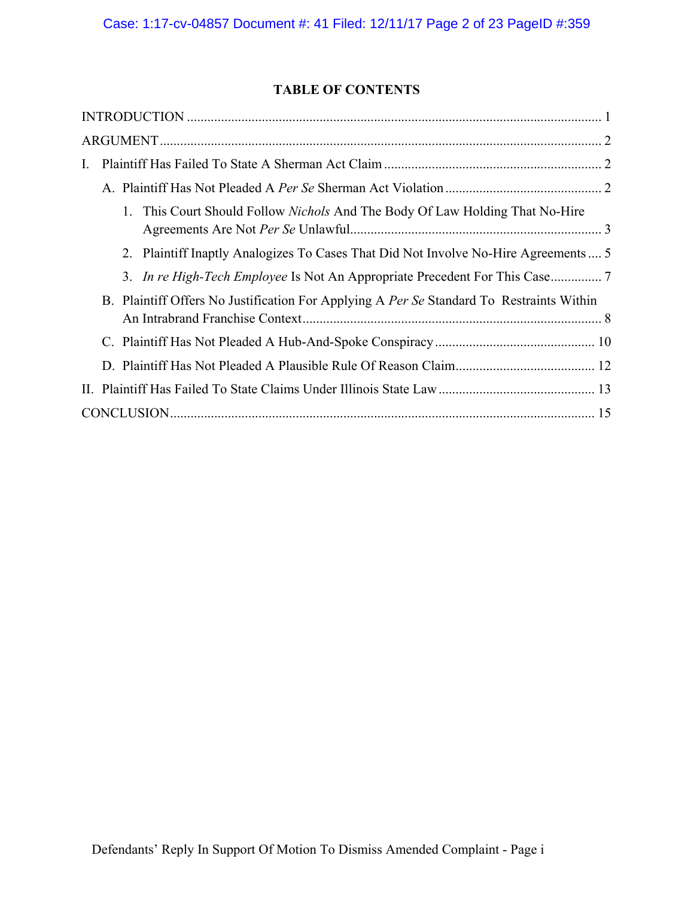# **TABLE OF CONTENTS**

| L.                                                                                       |
|------------------------------------------------------------------------------------------|
|                                                                                          |
| 1. This Court Should Follow <i>Nichols</i> And The Body Of Law Holding That No-Hire      |
| 2. Plaintiff Inaptly Analogizes To Cases That Did Not Involve No-Hire Agreements  5      |
| 3. In re High-Tech Employee Is Not An Appropriate Precedent For This Case7               |
| B. Plaintiff Offers No Justification For Applying A Per Se Standard To Restraints Within |
|                                                                                          |
|                                                                                          |
|                                                                                          |
|                                                                                          |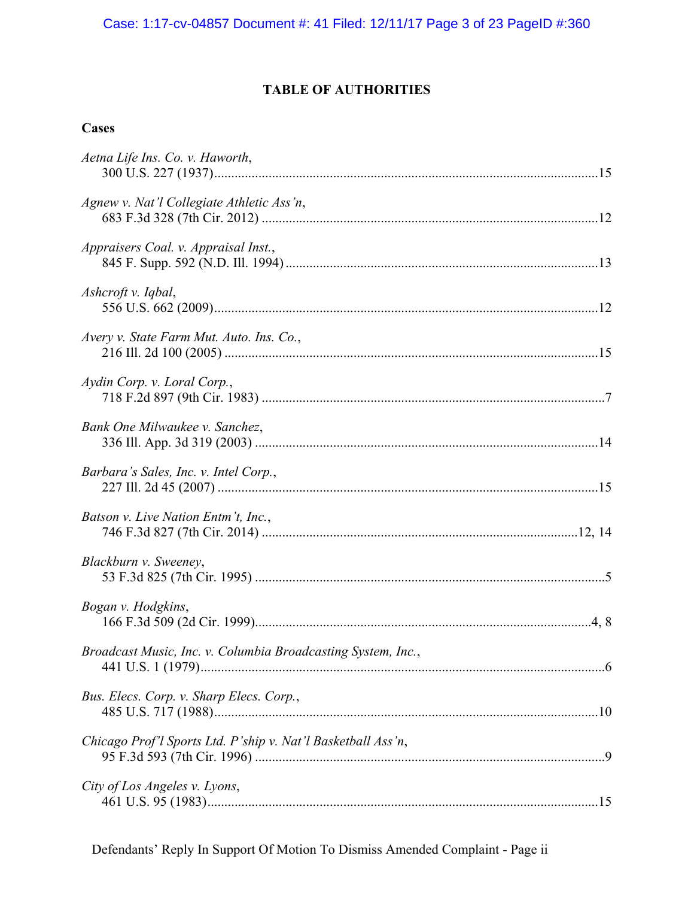# **TABLE OF AUTHORITIES**

# **Cases**

| Aetna Life Ins. Co. v. Haworth,                              |  |
|--------------------------------------------------------------|--|
| Agnew v. Nat'l Collegiate Athletic Ass'n,                    |  |
| Appraisers Coal. v. Appraisal Inst.,                         |  |
| Ashcroft v. Iqbal,                                           |  |
| Avery v. State Farm Mut. Auto. Ins. Co.,                     |  |
| Aydin Corp. v. Loral Corp.,                                  |  |
| Bank One Milwaukee v. Sanchez,                               |  |
| Barbara's Sales, Inc. v. Intel Corp.,                        |  |
| Batson v. Live Nation Entm't, Inc.,                          |  |
| Blackburn v. Sweeney,                                        |  |
| Bogan v. Hodgkins,                                           |  |
| Broadcast Music, Inc. v. Columbia Broadcasting System, Inc., |  |
| Bus. Elecs. Corp. v. Sharp Elecs. Corp.,                     |  |
| Chicago Prof'l Sports Ltd. P'ship v. Nat'l Basketball Ass'n, |  |
| City of Los Angeles v. Lyons,                                |  |
|                                                              |  |

Defendants' Reply In Support Of Motion To Dismiss Amended Complaint - Page ii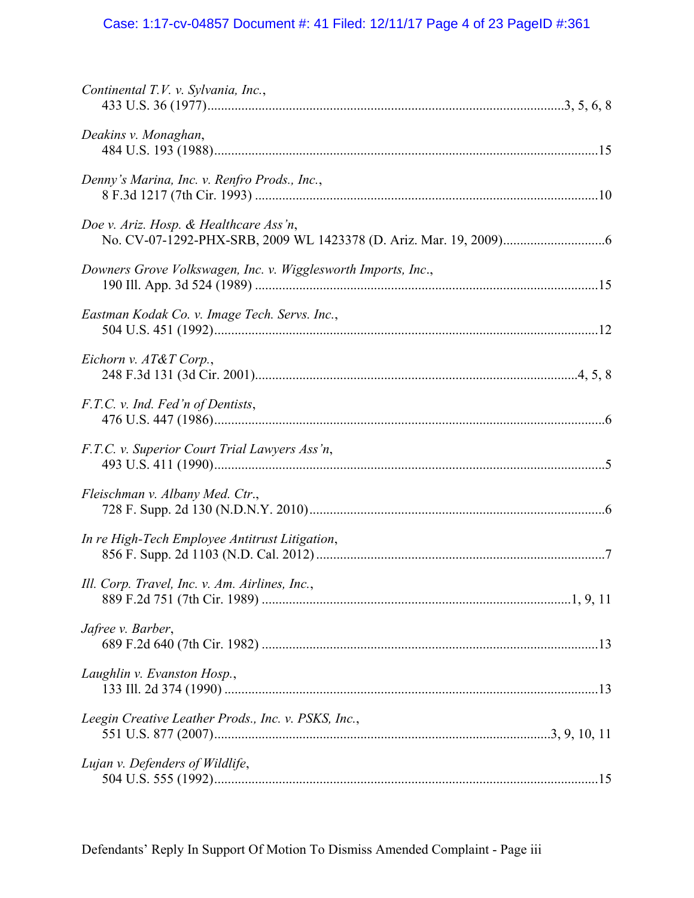## Case: 1:17-cv-04857 Document #: 41 Filed: 12/11/17 Page 4 of 23 PageID #:361

| Continental T.V. v. Sylvania, Inc.,                           |
|---------------------------------------------------------------|
| Deakins v. Monaghan,                                          |
| Denny's Marina, Inc. v. Renfro Prods., Inc.,                  |
| Doe v. Ariz. Hosp. & Healthcare Ass'n,                        |
| Downers Grove Volkswagen, Inc. v. Wigglesworth Imports, Inc., |
| Eastman Kodak Co. v. Image Tech. Servs. Inc.,                 |
| Eichorn v. AT&T Corp.,                                        |
| F.T.C. v. Ind. Fed'n of Dentists,                             |
| F.T.C. v. Superior Court Trial Lawyers Ass'n,                 |
| Fleischman v. Albany Med. Ctr.,                               |
| In re High-Tech Employee Antitrust Litigation,                |
| Ill. Corp. Travel, Inc. v. Am. Airlines, Inc.,                |
| Jafree v. Barber,                                             |
| Laughlin v. Evanston Hosp.,                                   |
| Leegin Creative Leather Prods., Inc. v. PSKS, Inc.,           |
| Lujan v. Defenders of Wildlife,                               |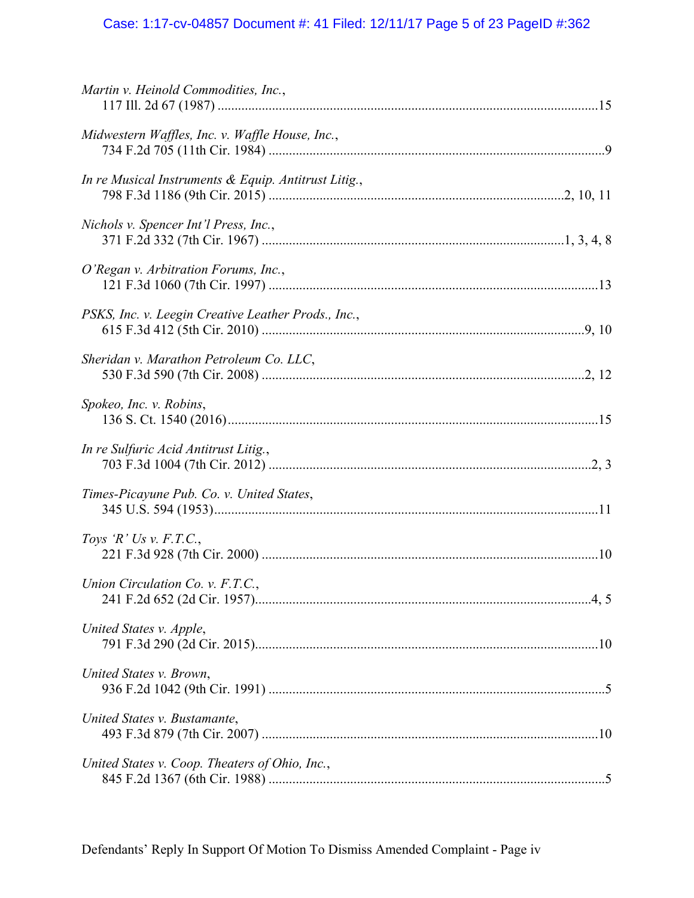## Case: 1:17-cv-04857 Document #: 41 Filed: 12/11/17 Page 5 of 23 PageID #:362

| Martin v. Heinold Commodities, Inc.,                 |  |
|------------------------------------------------------|--|
| Midwestern Waffles, Inc. v. Waffle House, Inc.,      |  |
| In re Musical Instruments & Equip. Antitrust Litig., |  |
| Nichols v. Spencer Int'l Press, Inc.,                |  |
| O'Regan v. Arbitration Forums, Inc.,                 |  |
| PSKS, Inc. v. Leegin Creative Leather Prods., Inc.,  |  |
| Sheridan v. Marathon Petroleum Co. LLC,              |  |
| Spokeo, Inc. v. Robins,                              |  |
| In re Sulfuric Acid Antitrust Litig.,                |  |
| Times-Picayune Pub. Co. v. United States,            |  |
| Toys 'R' Us v. F.T.C.,                               |  |
| Union Circulation Co. v. F.T.C.,                     |  |
| United States v. Apple,                              |  |
| United States v. Brown,                              |  |
| United States v. Bustamante,                         |  |
| United States v. Coop. Theaters of Ohio, Inc.,       |  |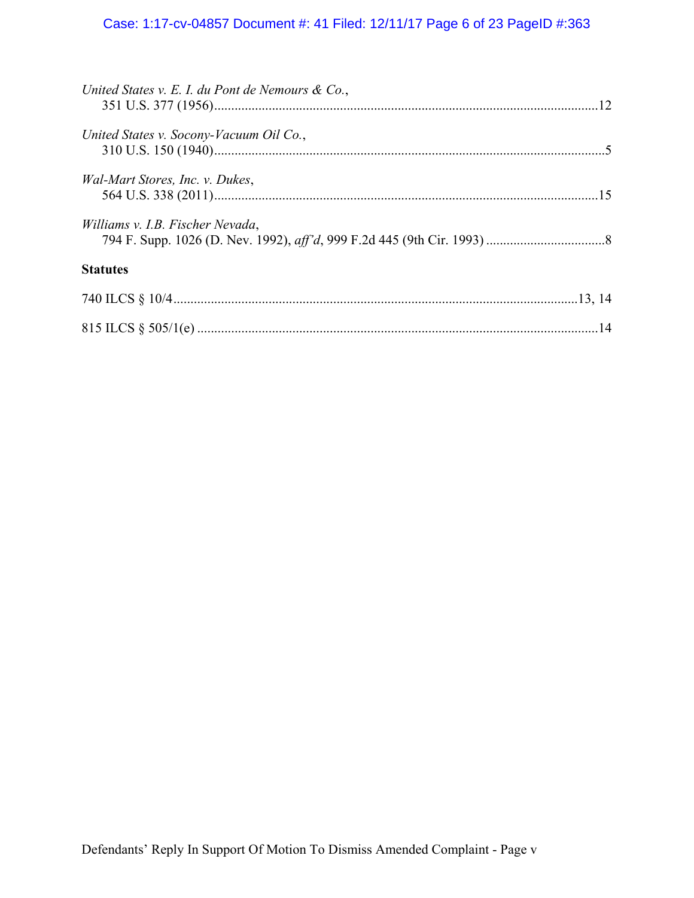## Case: 1:17-cv-04857 Document #: 41 Filed: 12/11/17 Page 6 of 23 PageID #:363

| United States v. E. I. du Pont de Nemours & Co., |  |
|--------------------------------------------------|--|
| United States v. Socony-Vacuum Oil Co.,          |  |
| Wal-Mart Stores, Inc. v. Dukes,                  |  |
| Williams v. I.B. Fischer Nevada,                 |  |
| <b>Statutes</b>                                  |  |
|                                                  |  |
|                                                  |  |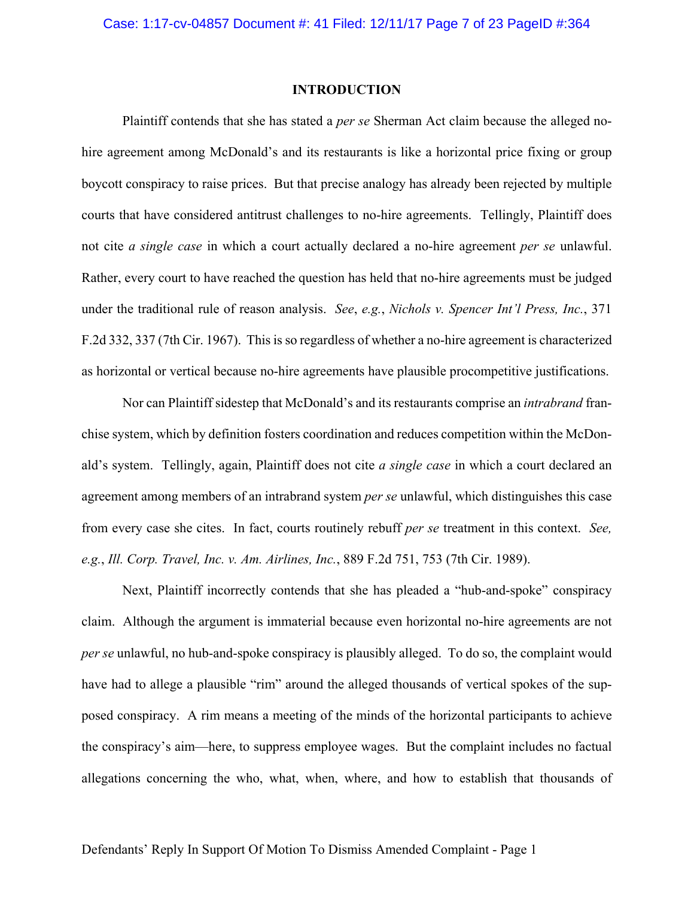#### **INTRODUCTION**

Plaintiff contends that she has stated a *per se* Sherman Act claim because the alleged nohire agreement among McDonald's and its restaurants is like a horizontal price fixing or group boycott conspiracy to raise prices. But that precise analogy has already been rejected by multiple courts that have considered antitrust challenges to no-hire agreements. Tellingly, Plaintiff does not cite *a single case* in which a court actually declared a no-hire agreement *per se* unlawful. Rather, every court to have reached the question has held that no-hire agreements must be judged under the traditional rule of reason analysis. *See*, *e.g.*, *Nichols v. Spencer Int'l Press, Inc.*, 371 F.2d 332, 337 (7th Cir. 1967). This is so regardless of whether a no-hire agreement is characterized as horizontal or vertical because no-hire agreements have plausible procompetitive justifications.

Nor can Plaintiff sidestep that McDonald's and its restaurants comprise an *intrabrand* franchise system, which by definition fosters coordination and reduces competition within the McDonald's system. Tellingly, again, Plaintiff does not cite *a single case* in which a court declared an agreement among members of an intrabrand system *per se* unlawful, which distinguishes this case from every case she cites. In fact, courts routinely rebuff *per se* treatment in this context. *See, e.g.*, *Ill. Corp. Travel, Inc. v. Am. Airlines, Inc.*, 889 F.2d 751, 753 (7th Cir. 1989).

Next, Plaintiff incorrectly contends that she has pleaded a "hub-and-spoke" conspiracy claim. Although the argument is immaterial because even horizontal no-hire agreements are not *per se* unlawful, no hub-and-spoke conspiracy is plausibly alleged. To do so, the complaint would have had to allege a plausible "rim" around the alleged thousands of vertical spokes of the supposed conspiracy. A rim means a meeting of the minds of the horizontal participants to achieve the conspiracy's aim—here, to suppress employee wages. But the complaint includes no factual allegations concerning the who, what, when, where, and how to establish that thousands of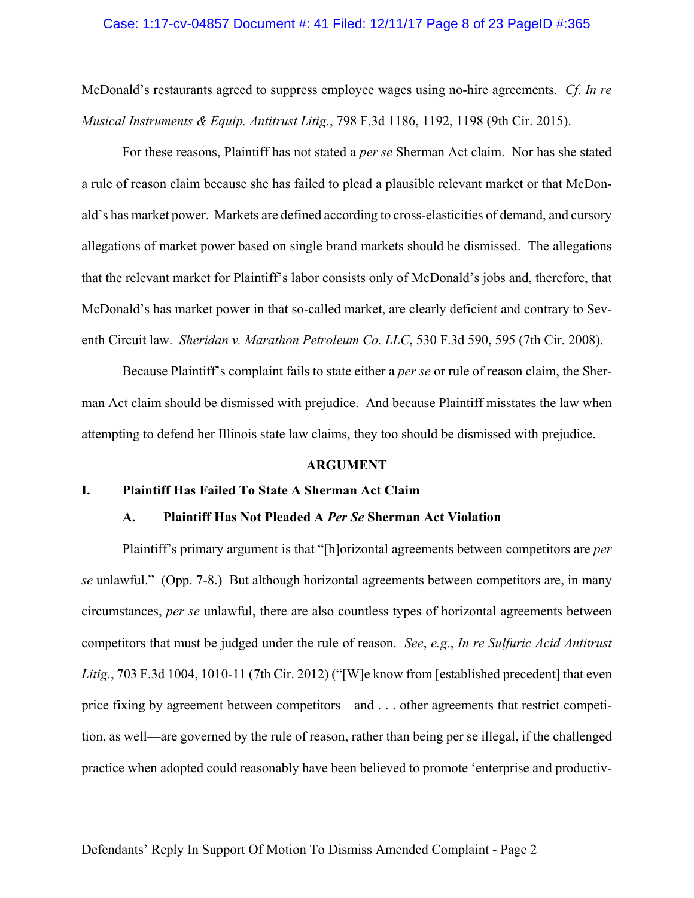#### Case: 1:17-cv-04857 Document #: 41 Filed: 12/11/17 Page 8 of 23 PageID #:365

McDonald's restaurants agreed to suppress employee wages using no-hire agreements. *Cf. In re Musical Instruments & Equip. Antitrust Litig.*, 798 F.3d 1186, 1192, 1198 (9th Cir. 2015).

For these reasons, Plaintiff has not stated a *per se* Sherman Act claim. Nor has she stated a rule of reason claim because she has failed to plead a plausible relevant market or that McDonald's has market power. Markets are defined according to cross-elasticities of demand, and cursory allegations of market power based on single brand markets should be dismissed. The allegations that the relevant market for Plaintiff's labor consists only of McDonald's jobs and, therefore, that McDonald's has market power in that so-called market, are clearly deficient and contrary to Seventh Circuit law. *Sheridan v. Marathon Petroleum Co. LLC*, 530 F.3d 590, 595 (7th Cir. 2008).

Because Plaintiff's complaint fails to state either a *per se* or rule of reason claim, the Sherman Act claim should be dismissed with prejudice. And because Plaintiff misstates the law when attempting to defend her Illinois state law claims, they too should be dismissed with prejudice.

#### **ARGUMENT**

### **I. Plaintiff Has Failed To State A Sherman Act Claim**

### **A. Plaintiff Has Not Pleaded A** *Per Se* **Sherman Act Violation**

Plaintiff's primary argument is that "[h]orizontal agreements between competitors are *per se* unlawful." (Opp. 7-8.) But although horizontal agreements between competitors are, in many circumstances, *per se* unlawful, there are also countless types of horizontal agreements between competitors that must be judged under the rule of reason. *See*, *e.g.*, *In re Sulfuric Acid Antitrust Litig.*, 703 F.3d 1004, 1010-11 (7th Cir. 2012) ("[W]e know from [established precedent] that even price fixing by agreement between competitors—and . . . other agreements that restrict competition, as well—are governed by the rule of reason, rather than being per se illegal, if the challenged practice when adopted could reasonably have been believed to promote 'enterprise and productiv-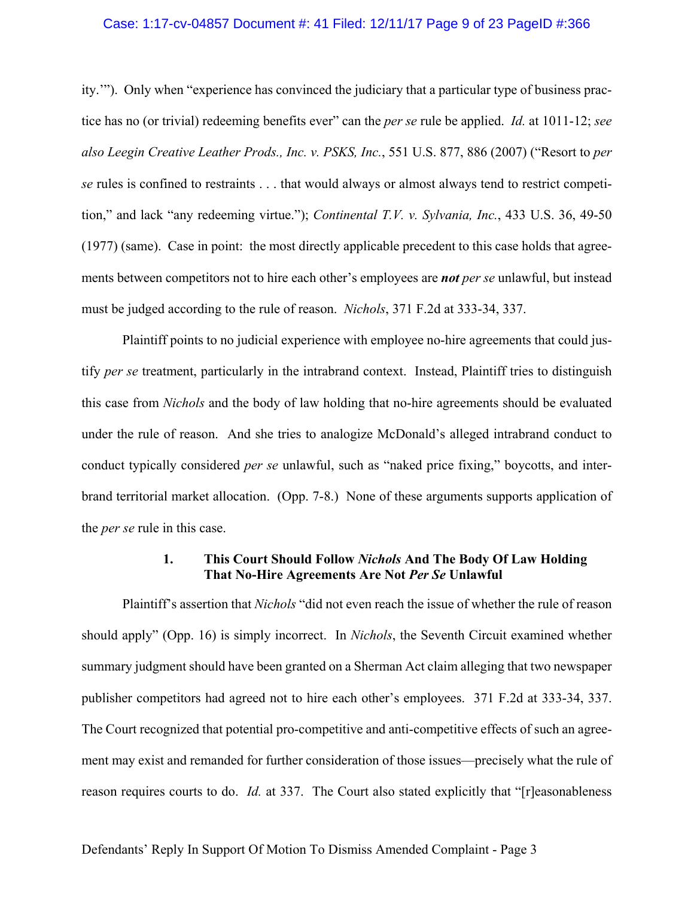#### Case: 1:17-cv-04857 Document #: 41 Filed: 12/11/17 Page 9 of 23 PageID #:366

ity.'"). Only when "experience has convinced the judiciary that a particular type of business practice has no (or trivial) redeeming benefits ever" can the *per se* rule be applied. *Id.* at 1011-12; *see also Leegin Creative Leather Prods., Inc. v. PSKS, Inc.*, 551 U.S. 877, 886 (2007) ("Resort to *per se* rules is confined to restraints . . . that would always or almost always tend to restrict competition," and lack "any redeeming virtue."); *Continental T.V. v. Sylvania, Inc.*, 433 U.S. 36, 49-50 (1977) (same).Case in point: the most directly applicable precedent to this case holds that agreements between competitors not to hire each other's employees are *not per se* unlawful, but instead must be judged according to the rule of reason. *Nichols*, 371 F.2d at 333-34, 337.

Plaintiff points to no judicial experience with employee no-hire agreements that could justify *per se* treatment, particularly in the intrabrand context. Instead, Plaintiff tries to distinguish this case from *Nichols* and the body of law holding that no-hire agreements should be evaluated under the rule of reason. And she tries to analogize McDonald's alleged intrabrand conduct to conduct typically considered *per se* unlawful, such as "naked price fixing," boycotts, and interbrand territorial market allocation. (Opp. 7-8.) None of these arguments supports application of the *per se* rule in this case.

### **1. This Court Should Follow** *Nichols* **And The Body Of Law Holding That No-Hire Agreements Are Not** *Per Se* **Unlawful**

Plaintiff's assertion that *Nichols* "did not even reach the issue of whether the rule of reason should apply" (Opp. 16) is simply incorrect. In *Nichols*, the Seventh Circuit examined whether summary judgment should have been granted on a Sherman Act claim alleging that two newspaper publisher competitors had agreed not to hire each other's employees. 371 F.2d at 333-34, 337. The Court recognized that potential pro-competitive and anti-competitive effects of such an agreement may exist and remanded for further consideration of those issues—precisely what the rule of reason requires courts to do. *Id.* at 337. The Court also stated explicitly that "[r]easonableness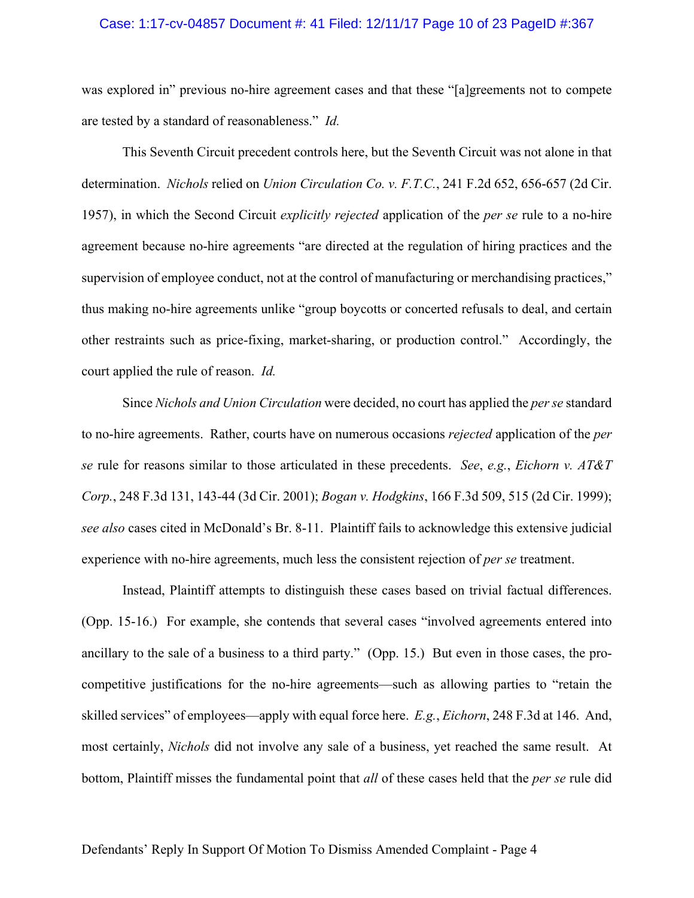#### Case: 1:17-cv-04857 Document #: 41 Filed: 12/11/17 Page 10 of 23 PageID #:367

was explored in" previous no-hire agreement cases and that these "[a]greements not to compete are tested by a standard of reasonableness." *Id.*

This Seventh Circuit precedent controls here, but the Seventh Circuit was not alone in that determination. *Nichols* relied on *Union Circulation Co. v. F.T.C.*, 241 F.2d 652, 656-657 (2d Cir. 1957), in which the Second Circuit *explicitly rejected* application of the *per se* rule to a no-hire agreement because no-hire agreements "are directed at the regulation of hiring practices and the supervision of employee conduct, not at the control of manufacturing or merchandising practices," thus making no-hire agreements unlike "group boycotts or concerted refusals to deal, and certain other restraints such as price-fixing, market-sharing, or production control." Accordingly, the court applied the rule of reason. *Id.*

Since *Nichols and Union Circulation* were decided, no court has applied the *per se* standard to no-hire agreements. Rather, courts have on numerous occasions *rejected* application of the *per se* rule for reasons similar to those articulated in these precedents. *See*, *e.g.*, *Eichorn v. AT&T Corp.*, 248 F.3d 131, 143-44 (3d Cir. 2001); *Bogan v. Hodgkins*, 166 F.3d 509, 515 (2d Cir. 1999); *see also* cases cited in McDonald's Br. 8-11. Plaintiff fails to acknowledge this extensive judicial experience with no-hire agreements, much less the consistent rejection of *per se* treatment.

Instead, Plaintiff attempts to distinguish these cases based on trivial factual differences. (Opp. 15-16.) For example, she contends that several cases "involved agreements entered into ancillary to the sale of a business to a third party." (Opp. 15.) But even in those cases, the procompetitive justifications for the no-hire agreements—such as allowing parties to "retain the skilled services" of employees—apply with equal force here. *E.g.*, *Eichorn*, 248 F.3d at 146. And, most certainly, *Nichols* did not involve any sale of a business, yet reached the same result. At bottom, Plaintiff misses the fundamental point that *all* of these cases held that the *per se* rule did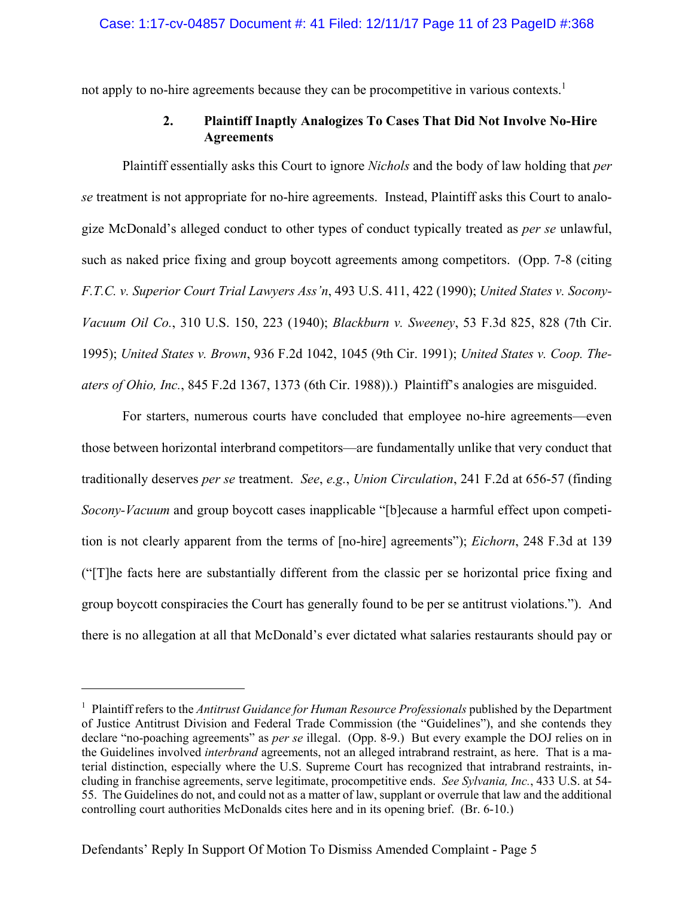not apply to no-hire agreements because they can be procompetitive in various contexts.<sup>1</sup>

## **2. Plaintiff Inaptly Analogizes To Cases That Did Not Involve No-Hire Agreements**

Plaintiff essentially asks this Court to ignore *Nichols* and the body of law holding that *per se* treatment is not appropriate for no-hire agreements. Instead, Plaintiff asks this Court to analogize McDonald's alleged conduct to other types of conduct typically treated as *per se* unlawful, such as naked price fixing and group boycott agreements among competitors. (Opp. 7-8 (citing *F.T.C. v. Superior Court Trial Lawyers Ass'n*, 493 U.S. 411, 422 (1990); *United States v. Socony-Vacuum Oil Co.*, 310 U.S. 150, 223 (1940); *Blackburn v. Sweeney*, 53 F.3d 825, 828 (7th Cir. 1995); *United States v. Brown*, 936 F.2d 1042, 1045 (9th Cir. 1991); *United States v. Coop. Theaters of Ohio, Inc.*, 845 F.2d 1367, 1373 (6th Cir. 1988)).) Plaintiff's analogies are misguided.

For starters, numerous courts have concluded that employee no-hire agreements—even those between horizontal interbrand competitors—are fundamentally unlike that very conduct that traditionally deserves *per se* treatment. *See*, *e.g.*, *Union Circulation*, 241 F.2d at 656-57 (finding *Socony-Vacuum* and group boycott cases inapplicable "[b]ecause a harmful effect upon competition is not clearly apparent from the terms of [no-hire] agreements"); *Eichorn*, 248 F.3d at 139 ("[T]he facts here are substantially different from the classic per se horizontal price fixing and group boycott conspiracies the Court has generally found to be per se antitrust violations."). And there is no allegation at all that McDonald's ever dictated what salaries restaurants should pay or

<u>.</u>

<sup>&</sup>lt;sup>1</sup> Plaintiff refers to the *Antitrust Guidance for Human Resource Professionals* published by the Department of Justice Antitrust Division and Federal Trade Commission (the "Guidelines"), and she contends they declare "no-poaching agreements" as *per se* illegal. (Opp. 8-9.) But every example the DOJ relies on in the Guidelines involved *interbrand* agreements, not an alleged intrabrand restraint, as here. That is a material distinction, especially where the U.S. Supreme Court has recognized that intrabrand restraints, including in franchise agreements, serve legitimate, procompetitive ends. *See Sylvania, Inc.*, 433 U.S. at 54- 55. The Guidelines do not, and could not as a matter of law, supplant or overrule that law and the additional controlling court authorities McDonalds cites here and in its opening brief. (Br. 6-10.)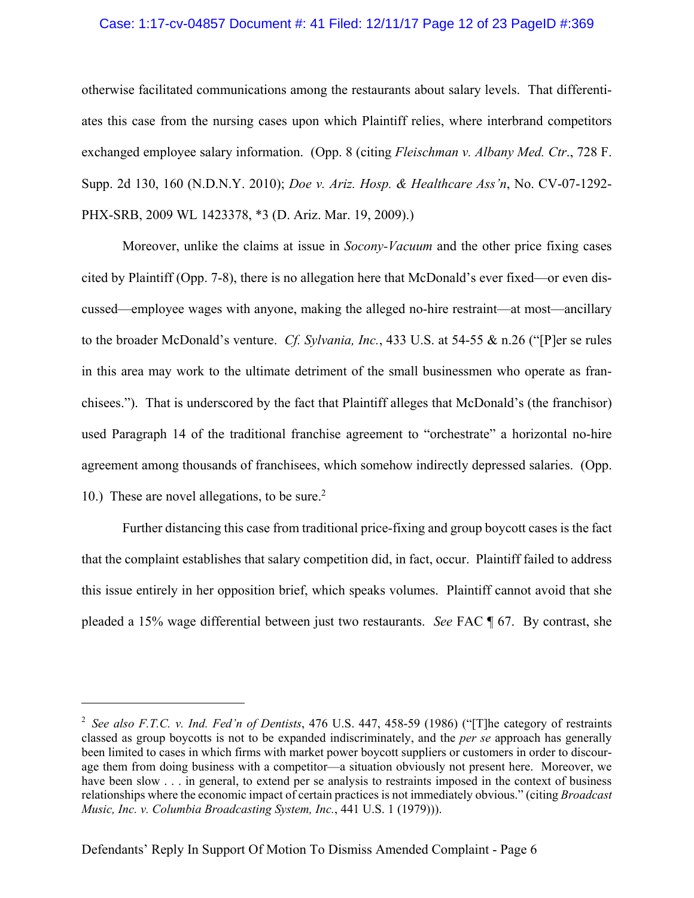### Case: 1:17-cv-04857 Document #: 41 Filed: 12/11/17 Page 12 of 23 PageID #:369

otherwise facilitated communications among the restaurants about salary levels. That differentiates this case from the nursing cases upon which Plaintiff relies, where interbrand competitors exchanged employee salary information. (Opp. 8 (citing *Fleischman v. Albany Med. Ctr*., 728 F. Supp. 2d 130, 160 (N.D.N.Y. 2010); *Doe v. Ariz. Hosp. & Healthcare Ass'n*, No. CV-07-1292- PHX-SRB, 2009 WL 1423378, \*3 (D. Ariz. Mar. 19, 2009).)

Moreover, unlike the claims at issue in *Socony-Vacuum* and the other price fixing cases cited by Plaintiff (Opp. 7-8), there is no allegation here that McDonald's ever fixed—or even discussed—employee wages with anyone, making the alleged no-hire restraint—at most—ancillary to the broader McDonald's venture. *Cf. Sylvania, Inc.*, 433 U.S. at 54-55 & n.26 ("[P]er se rules in this area may work to the ultimate detriment of the small businessmen who operate as franchisees."). That is underscored by the fact that Plaintiff alleges that McDonald's (the franchisor) used Paragraph 14 of the traditional franchise agreement to "orchestrate" a horizontal no-hire agreement among thousands of franchisees, which somehow indirectly depressed salaries. (Opp. 10.) These are novel allegations, to be sure.<sup>2</sup>

Further distancing this case from traditional price-fixing and group boycott cases is the fact that the complaint establishes that salary competition did, in fact, occur. Plaintiff failed to address this issue entirely in her opposition brief, which speaks volumes. Plaintiff cannot avoid that she pleaded a 15% wage differential between just two restaurants. *See* FAC ¶ 67. By contrast, she

1

<sup>2</sup> *See also F.T.C. v. Ind. Fed'n of Dentists*, 476 U.S. 447, 458-59 (1986) ("[T]he category of restraints classed as group boycotts is not to be expanded indiscriminately, and the *per se* approach has generally been limited to cases in which firms with market power boycott suppliers or customers in order to discourage them from doing business with a competitor—a situation obviously not present here. Moreover, we have been slow . . . in general, to extend per se analysis to restraints imposed in the context of business relationships where the economic impact of certain practices is not immediately obvious." (citing *Broadcast Music, Inc. v. Columbia Broadcasting System, Inc.*, 441 U.S. 1 (1979))).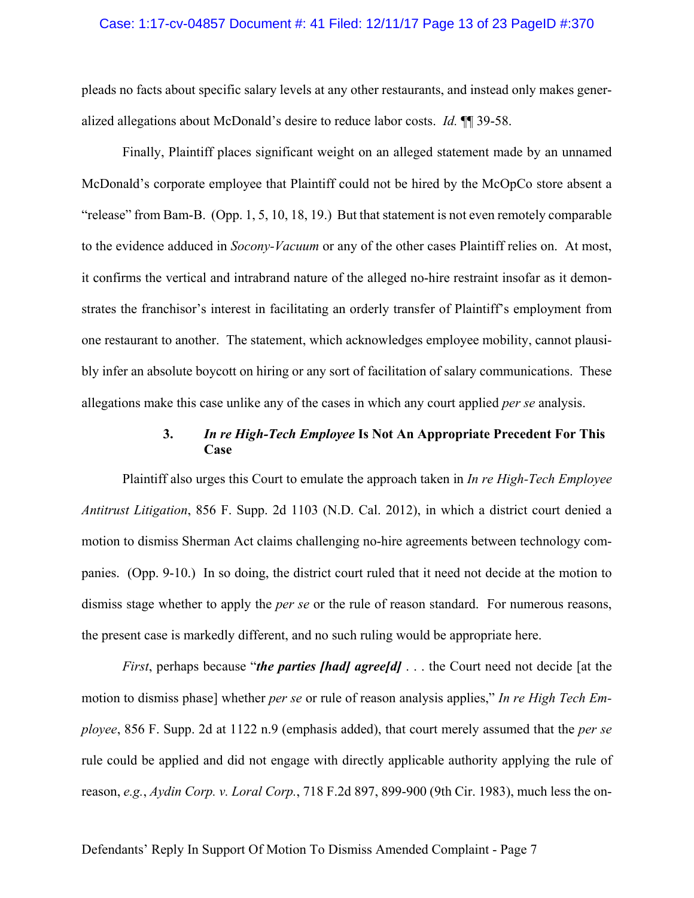#### Case: 1:17-cv-04857 Document #: 41 Filed: 12/11/17 Page 13 of 23 PageID #:370

pleads no facts about specific salary levels at any other restaurants, and instead only makes generalized allegations about McDonald's desire to reduce labor costs. *Id.* ¶¶ 39-58.

Finally, Plaintiff places significant weight on an alleged statement made by an unnamed McDonald's corporate employee that Plaintiff could not be hired by the McOpCo store absent a "release" from Bam-B. (Opp. 1, 5, 10, 18, 19.) But that statement is not even remotely comparable to the evidence adduced in *Socony-Vacuum* or any of the other cases Plaintiff relies on. At most, it confirms the vertical and intrabrand nature of the alleged no-hire restraint insofar as it demonstrates the franchisor's interest in facilitating an orderly transfer of Plaintiff's employment from one restaurant to another. The statement, which acknowledges employee mobility, cannot plausibly infer an absolute boycott on hiring or any sort of facilitation of salary communications. These allegations make this case unlike any of the cases in which any court applied *per se* analysis.

### **3.** *In re High-Tech Employee* **Is Not An Appropriate Precedent For This Case**

Plaintiff also urges this Court to emulate the approach taken in *In re High-Tech Employee Antitrust Litigation*, 856 F. Supp. 2d 1103 (N.D. Cal. 2012), in which a district court denied a motion to dismiss Sherman Act claims challenging no-hire agreements between technology companies. (Opp. 9-10.) In so doing, the district court ruled that it need not decide at the motion to dismiss stage whether to apply the *per se* or the rule of reason standard. For numerous reasons, the present case is markedly different, and no such ruling would be appropriate here.

*First*, perhaps because "*the parties [had] agree[d]* . . . the Court need not decide [at the motion to dismiss phase] whether *per se* or rule of reason analysis applies," *In re High Tech Employee*, 856 F. Supp. 2d at 1122 n.9 (emphasis added), that court merely assumed that the *per se* rule could be applied and did not engage with directly applicable authority applying the rule of reason, *e.g.*, *Aydin Corp. v. Loral Corp.*, 718 F.2d 897, 899-900 (9th Cir. 1983), much less the on-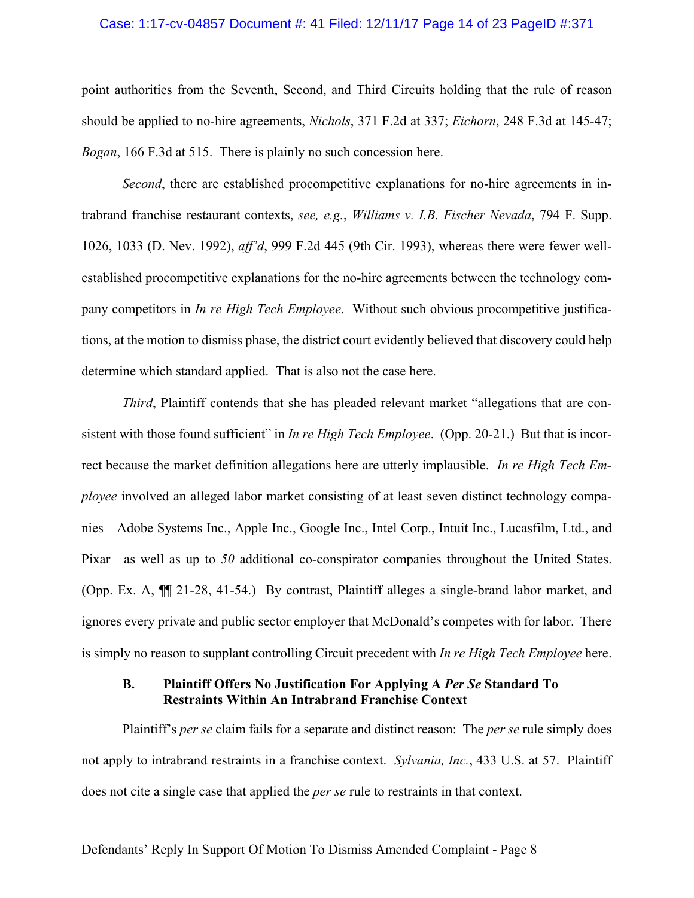#### Case: 1:17-cv-04857 Document #: 41 Filed: 12/11/17 Page 14 of 23 PageID #:371

point authorities from the Seventh, Second, and Third Circuits holding that the rule of reason should be applied to no-hire agreements, *Nichols*, 371 F.2d at 337; *Eichorn*, 248 F.3d at 145-47; *Bogan*, 166 F.3d at 515. There is plainly no such concession here.

*Second*, there are established procompetitive explanations for no-hire agreements in intrabrand franchise restaurant contexts, *see, e.g.*, *Williams v. I.B. Fischer Nevada*, 794 F. Supp. 1026, 1033 (D. Nev. 1992), *aff'd*, 999 F.2d 445 (9th Cir. 1993), whereas there were fewer wellestablished procompetitive explanations for the no-hire agreements between the technology company competitors in *In re High Tech Employee*. Without such obvious procompetitive justifications, at the motion to dismiss phase, the district court evidently believed that discovery could help determine which standard applied. That is also not the case here.

*Third*, Plaintiff contends that she has pleaded relevant market "allegations that are consistent with those found sufficient" in *In re High Tech Employee*. (Opp. 20-21.) But that is incorrect because the market definition allegations here are utterly implausible. *In re High Tech Employee* involved an alleged labor market consisting of at least seven distinct technology companies—Adobe Systems Inc., Apple Inc., Google Inc., Intel Corp., Intuit Inc., Lucasfilm, Ltd., and Pixar—as well as up to *50* additional co-conspirator companies throughout the United States. (Opp. Ex. A, ¶¶ 21-28, 41-54.) By contrast, Plaintiff alleges a single-brand labor market, and ignores every private and public sector employer that McDonald's competes with for labor. There is simply no reason to supplant controlling Circuit precedent with *In re High Tech Employee* here.

### **B. Plaintiff Offers No Justification For Applying A** *Per Se* **Standard To Restraints Within An Intrabrand Franchise Context**

Plaintiff's *per se* claim fails for a separate and distinct reason: The *per se* rule simply does not apply to intrabrand restraints in a franchise context. *Sylvania, Inc.*, 433 U.S. at 57. Plaintiff does not cite a single case that applied the *per se* rule to restraints in that context.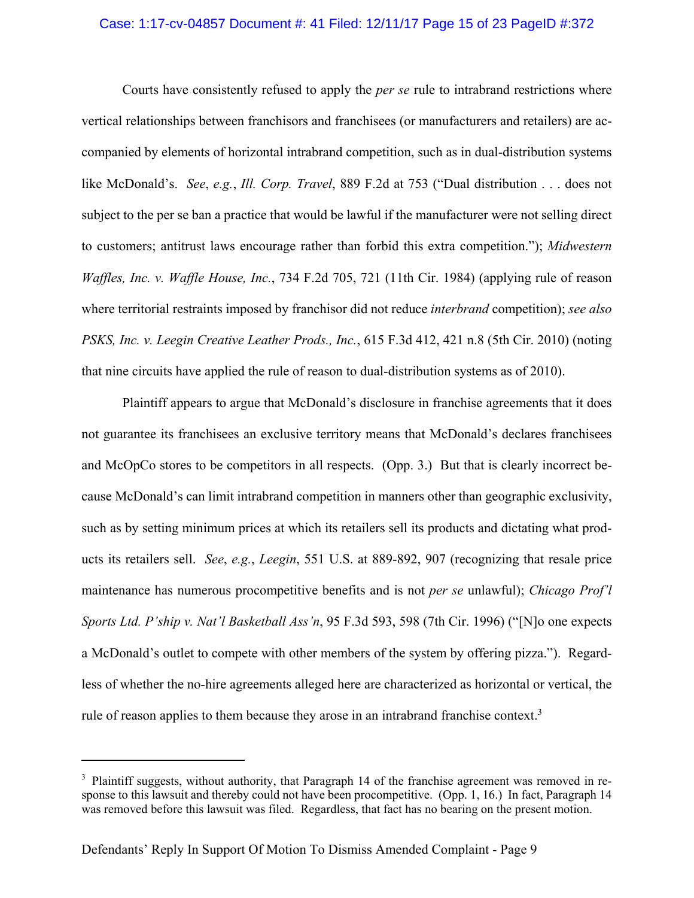### Case: 1:17-cv-04857 Document #: 41 Filed: 12/11/17 Page 15 of 23 PageID #:372

Courts have consistently refused to apply the *per se* rule to intrabrand restrictions where vertical relationships between franchisors and franchisees (or manufacturers and retailers) are accompanied by elements of horizontal intrabrand competition, such as in dual-distribution systems like McDonald's. *See*, *e.g.*, *Ill. Corp. Travel*, 889 F.2d at 753 ("Dual distribution . . . does not subject to the per se ban a practice that would be lawful if the manufacturer were not selling direct to customers; antitrust laws encourage rather than forbid this extra competition."); *Midwestern Waffles, Inc. v. Waffle House, Inc.*, 734 F.2d 705, 721 (11th Cir. 1984) (applying rule of reason where territorial restraints imposed by franchisor did not reduce *interbrand* competition); *see also PSKS, Inc. v. Leegin Creative Leather Prods., Inc.*, 615 F.3d 412, 421 n.8 (5th Cir. 2010) (noting that nine circuits have applied the rule of reason to dual-distribution systems as of 2010).

Plaintiff appears to argue that McDonald's disclosure in franchise agreements that it does not guarantee its franchisees an exclusive territory means that McDonald's declares franchisees and McOpCo stores to be competitors in all respects. (Opp. 3.) But that is clearly incorrect because McDonald's can limit intrabrand competition in manners other than geographic exclusivity, such as by setting minimum prices at which its retailers sell its products and dictating what products its retailers sell. *See*, *e.g.*, *Leegin*, 551 U.S. at 889-892, 907 (recognizing that resale price maintenance has numerous procompetitive benefits and is not *per se* unlawful); *Chicago Prof'l Sports Ltd. P'ship v. Nat'l Basketball Ass'n*, 95 F.3d 593, 598 (7th Cir. 1996) ("[N]o one expects a McDonald's outlet to compete with other members of the system by offering pizza."). Regardless of whether the no-hire agreements alleged here are characterized as horizontal or vertical, the rule of reason applies to them because they arose in an intrabrand franchise context. $3$ 

 $\overline{a}$ 

 $3$  Plaintiff suggests, without authority, that Paragraph 14 of the franchise agreement was removed in response to this lawsuit and thereby could not have been procompetitive. (Opp. 1, 16.) In fact, Paragraph 14 was removed before this lawsuit was filed. Regardless, that fact has no bearing on the present motion.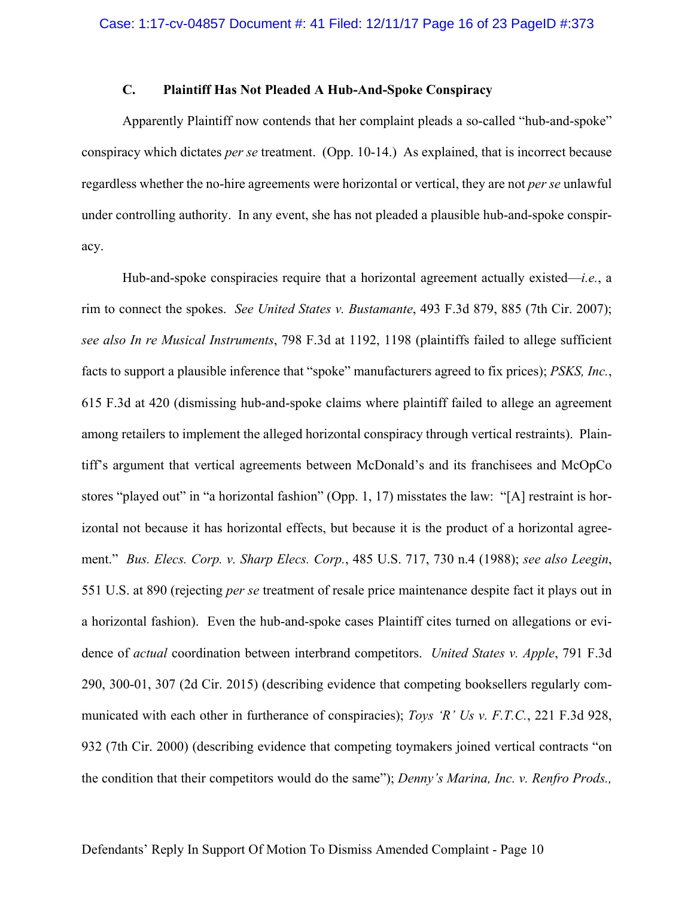### **C. Plaintiff Has Not Pleaded A Hub-And-Spoke Conspiracy**

Apparently Plaintiff now contends that her complaint pleads a so-called "hub-and-spoke" conspiracy which dictates *per se* treatment. (Opp. 10-14.) As explained, that is incorrect because regardless whether the no-hire agreements were horizontal or vertical, they are not *per se* unlawful under controlling authority. In any event, she has not pleaded a plausible hub-and-spoke conspiracy.

Hub-and-spoke conspiracies require that a horizontal agreement actually existed—*i.e.*, a rim to connect the spokes. *See United States v. Bustamante*, 493 F.3d 879, 885 (7th Cir. 2007); *see also In re Musical Instruments*, 798 F.3d at 1192, 1198 (plaintiffs failed to allege sufficient facts to support a plausible inference that "spoke" manufacturers agreed to fix prices); *PSKS, Inc.*, 615 F.3d at 420 (dismissing hub-and-spoke claims where plaintiff failed to allege an agreement among retailers to implement the alleged horizontal conspiracy through vertical restraints). Plaintiff's argument that vertical agreements between McDonald's and its franchisees and McOpCo stores "played out" in "a horizontal fashion" (Opp. 1, 17) misstates the law: "[A] restraint is horizontal not because it has horizontal effects, but because it is the product of a horizontal agreement." *Bus. Elecs. Corp. v. Sharp Elecs. Corp.*, 485 U.S. 717, 730 n.4 (1988); *see also Leegin*, 551 U.S. at 890 (rejecting *per se* treatment of resale price maintenance despite fact it plays out in a horizontal fashion). Even the hub-and-spoke cases Plaintiff cites turned on allegations or evidence of *actual* coordination between interbrand competitors. *United States v. Apple*, 791 F.3d 290, 300-01, 307 (2d Cir. 2015) (describing evidence that competing booksellers regularly communicated with each other in furtherance of conspiracies); *Toys 'R' Us v. F.T.C.*, 221 F.3d 928, 932 (7th Cir. 2000) (describing evidence that competing toymakers joined vertical contracts "on the condition that their competitors would do the same"); *Denny's Marina, Inc. v. Renfro Prods.,*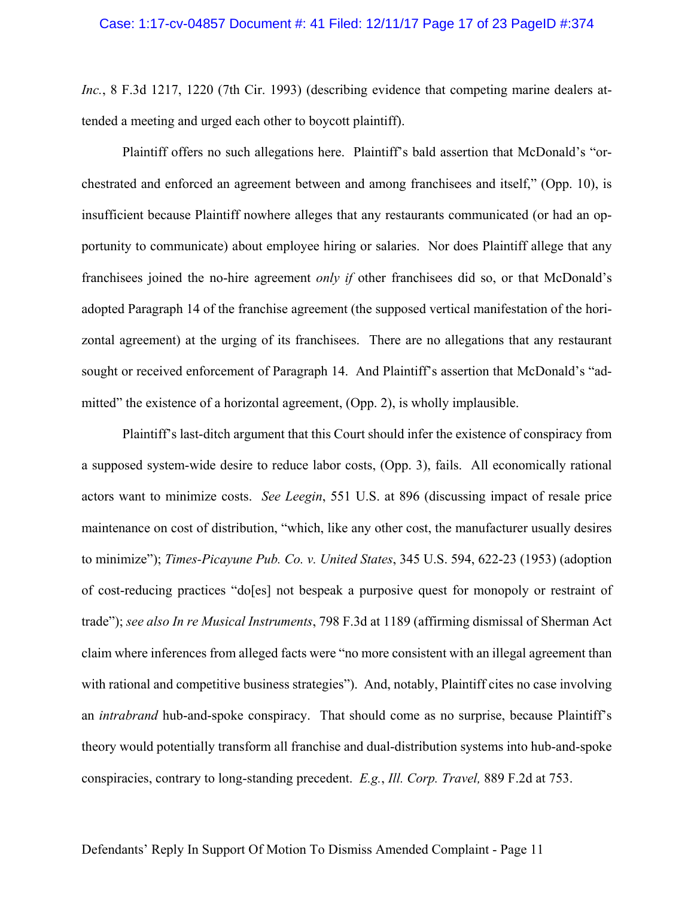#### Case: 1:17-cv-04857 Document #: 41 Filed: 12/11/17 Page 17 of 23 PageID #:374

*Inc.*, 8 F.3d 1217, 1220 (7th Cir. 1993) (describing evidence that competing marine dealers attended a meeting and urged each other to boycott plaintiff).

Plaintiff offers no such allegations here. Plaintiff's bald assertion that McDonald's "orchestrated and enforced an agreement between and among franchisees and itself," (Opp. 10), is insufficient because Plaintiff nowhere alleges that any restaurants communicated (or had an opportunity to communicate) about employee hiring or salaries. Nor does Plaintiff allege that any franchisees joined the no-hire agreement *only if* other franchisees did so, or that McDonald's adopted Paragraph 14 of the franchise agreement (the supposed vertical manifestation of the horizontal agreement) at the urging of its franchisees. There are no allegations that any restaurant sought or received enforcement of Paragraph 14. And Plaintiff's assertion that McDonald's "admitted" the existence of a horizontal agreement, (Opp. 2), is wholly implausible.

Plaintiff's last-ditch argument that this Court should infer the existence of conspiracy from a supposed system-wide desire to reduce labor costs, (Opp. 3), fails. All economically rational actors want to minimize costs. *See Leegin*, 551 U.S. at 896 (discussing impact of resale price maintenance on cost of distribution, "which, like any other cost, the manufacturer usually desires to minimize"); *Times-Picayune Pub. Co. v. United States*, 345 U.S. 594, 622-23 (1953) (adoption of cost-reducing practices "do[es] not bespeak a purposive quest for monopoly or restraint of trade"); *see also In re Musical Instruments*, 798 F.3d at 1189 (affirming dismissal of Sherman Act claim where inferences from alleged facts were "no more consistent with an illegal agreement than with rational and competitive business strategies"). And, notably, Plaintiff cites no case involving an *intrabrand* hub-and-spoke conspiracy. That should come as no surprise, because Plaintiff's theory would potentially transform all franchise and dual-distribution systems into hub-and-spoke conspiracies, contrary to long-standing precedent. *E.g.*, *Ill. Corp. Travel,* 889 F.2d at 753.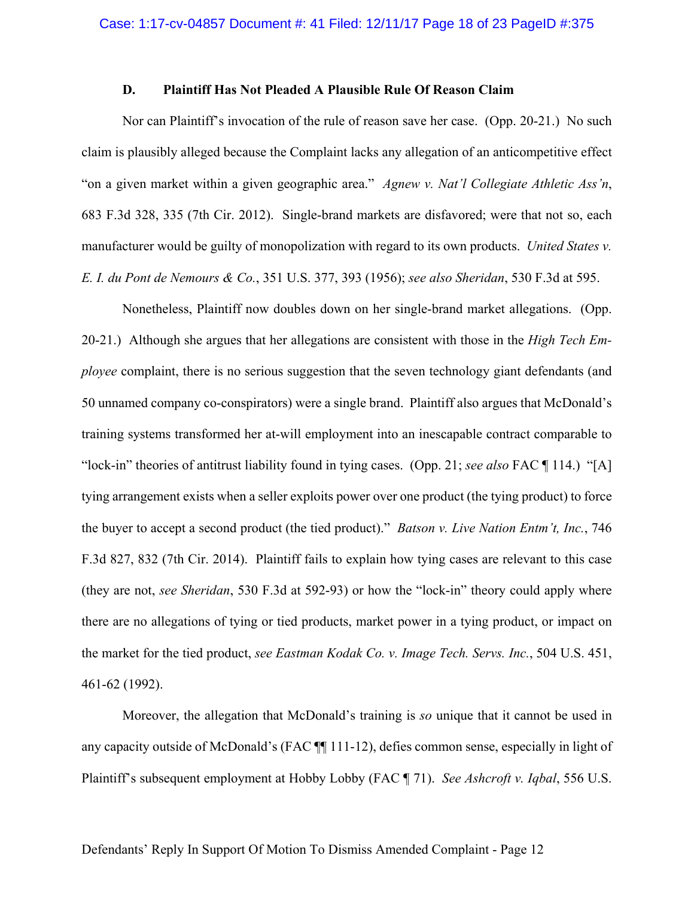### **D. Plaintiff Has Not Pleaded A Plausible Rule Of Reason Claim**

Nor can Plaintiff's invocation of the rule of reason save her case. (Opp. 20-21.) No such claim is plausibly alleged because the Complaint lacks any allegation of an anticompetitive effect "on a given market within a given geographic area." *Agnew v. Nat'l Collegiate Athletic Ass'n*, 683 F.3d 328, 335 (7th Cir. 2012). Single-brand markets are disfavored; were that not so, each manufacturer would be guilty of monopolization with regard to its own products. *United States v. E. I. du Pont de Nemours & Co.*, 351 U.S. 377, 393 (1956); *see also Sheridan*, 530 F.3d at 595.

Nonetheless, Plaintiff now doubles down on her single-brand market allegations. (Opp. 20-21.) Although she argues that her allegations are consistent with those in the *High Tech Employee* complaint, there is no serious suggestion that the seven technology giant defendants (and 50 unnamed company co-conspirators) were a single brand. Plaintiff also argues that McDonald's training systems transformed her at-will employment into an inescapable contract comparable to "lock-in" theories of antitrust liability found in tying cases. (Opp. 21; *see also* FAC ¶ 114.) "[A] tying arrangement exists when a seller exploits power over one product (the tying product) to force the buyer to accept a second product (the tied product)." *Batson v. Live Nation Entm't, Inc.*, 746 F.3d 827, 832 (7th Cir. 2014). Plaintiff fails to explain how tying cases are relevant to this case (they are not, *see Sheridan*, 530 F.3d at 592-93) or how the "lock-in" theory could apply where there are no allegations of tying or tied products, market power in a tying product, or impact on the market for the tied product, *see Eastman Kodak Co. v. Image Tech. Servs. Inc.*, 504 U.S. 451, 461-62 (1992).

Moreover, the allegation that McDonald's training is *so* unique that it cannot be used in any capacity outside of McDonald's (FAC ¶¶ 111-12), defies common sense, especially in light of Plaintiff's subsequent employment at Hobby Lobby (FAC ¶ 71). *See Ashcroft v. Iqbal*, 556 U.S.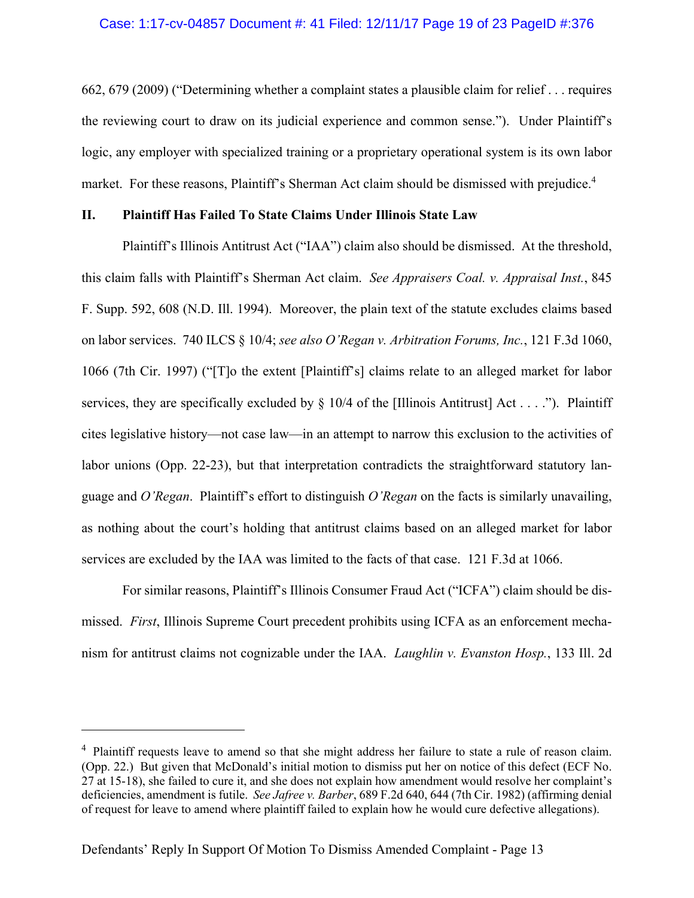### Case: 1:17-cv-04857 Document #: 41 Filed: 12/11/17 Page 19 of 23 PageID #:376

662, 679 (2009) ("Determining whether a complaint states a plausible claim for relief . . . requires the reviewing court to draw on its judicial experience and common sense."). Under Plaintiff's logic, any employer with specialized training or a proprietary operational system is its own labor market. For these reasons, Plaintiff's Sherman Act claim should be dismissed with prejudice.<sup>4</sup>

### **II. Plaintiff Has Failed To State Claims Under Illinois State Law**

Plaintiff's Illinois Antitrust Act ("IAA") claim also should be dismissed. At the threshold, this claim falls with Plaintiff's Sherman Act claim. *See Appraisers Coal. v. Appraisal Inst.*, 845 F. Supp. 592, 608 (N.D. Ill. 1994). Moreover, the plain text of the statute excludes claims based on labor services. 740 ILCS § 10/4; *see also O'Regan v. Arbitration Forums, Inc.*, 121 F.3d 1060, 1066 (7th Cir. 1997) ("[T]o the extent [Plaintiff's] claims relate to an alleged market for labor services, they are specifically excluded by  $\S$  10/4 of the [Illinois Antitrust] Act . . . ."). Plaintiff cites legislative history—not case law—in an attempt to narrow this exclusion to the activities of labor unions (Opp. 22-23), but that interpretation contradicts the straightforward statutory language and *O'Regan*. Plaintiff's effort to distinguish *O'Regan* on the facts is similarly unavailing, as nothing about the court's holding that antitrust claims based on an alleged market for labor services are excluded by the IAA was limited to the facts of that case. 121 F.3d at 1066.

For similar reasons, Plaintiff's Illinois Consumer Fraud Act ("ICFA") claim should be dismissed. *First*, Illinois Supreme Court precedent prohibits using ICFA as an enforcement mechanism for antitrust claims not cognizable under the IAA. *Laughlin v. Evanston Hosp.*, 133 Ill. 2d

 $\overline{a}$ 

<sup>&</sup>lt;sup>4</sup> Plaintiff requests leave to amend so that she might address her failure to state a rule of reason claim. (Opp. 22.) But given that McDonald's initial motion to dismiss put her on notice of this defect (ECF No. 27 at 15-18), she failed to cure it, and she does not explain how amendment would resolve her complaint's deficiencies, amendment is futile. *See Jafree v. Barber*, 689 F.2d 640, 644 (7th Cir. 1982) (affirming denial of request for leave to amend where plaintiff failed to explain how he would cure defective allegations).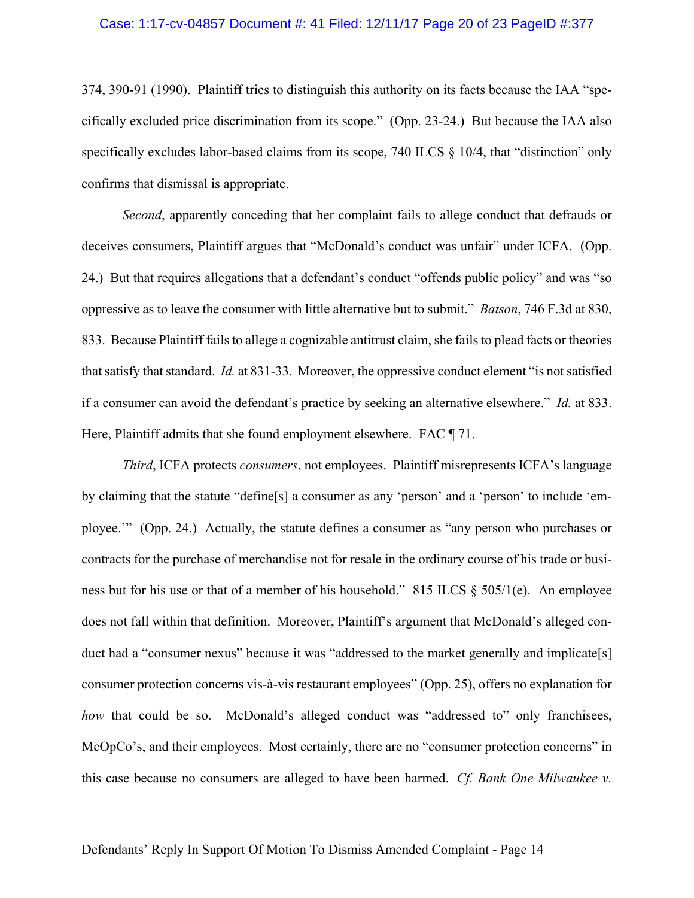#### Case: 1:17-cv-04857 Document #: 41 Filed: 12/11/17 Page 20 of 23 PageID #:377

374, 390-91 (1990). Plaintiff tries to distinguish this authority on its facts because the IAA "specifically excluded price discrimination from its scope." (Opp. 23-24.) But because the IAA also specifically excludes labor-based claims from its scope, 740 ILCS § 10/4, that "distinction" only confirms that dismissal is appropriate.

*Second*, apparently conceding that her complaint fails to allege conduct that defrauds or deceives consumers, Plaintiff argues that "McDonald's conduct was unfair" under ICFA. (Opp. 24.) But that requires allegations that a defendant's conduct "offends public policy" and was "so oppressive as to leave the consumer with little alternative but to submit." *Batson*, 746 F.3d at 830, 833. Because Plaintiff fails to allege a cognizable antitrust claim, she fails to plead facts or theories that satisfy that standard. *Id.* at 831-33. Moreover, the oppressive conduct element "is not satisfied if a consumer can avoid the defendant's practice by seeking an alternative elsewhere." *Id.* at 833. Here, Plaintiff admits that she found employment elsewhere. FAC ¶ 71.

*Third*, ICFA protects *consumers*, not employees. Plaintiff misrepresents ICFA's language by claiming that the statute "define[s] a consumer as any 'person' and a 'person' to include 'employee.'" (Opp. 24.) Actually, the statute defines a consumer as "any person who purchases or contracts for the purchase of merchandise not for resale in the ordinary course of his trade or business but for his use or that of a member of his household." 815 ILCS § 505/1(e). An employee does not fall within that definition. Moreover, Plaintiff's argument that McDonald's alleged conduct had a "consumer nexus" because it was "addressed to the market generally and implicate[s] consumer protection concerns vis-à-vis restaurant employees" (Opp. 25), offers no explanation for *how* that could be so. McDonald's alleged conduct was "addressed to" only franchisees, McOpCo's, and their employees. Most certainly, there are no "consumer protection concerns" in this case because no consumers are alleged to have been harmed. *Cf. Bank One Milwaukee v.*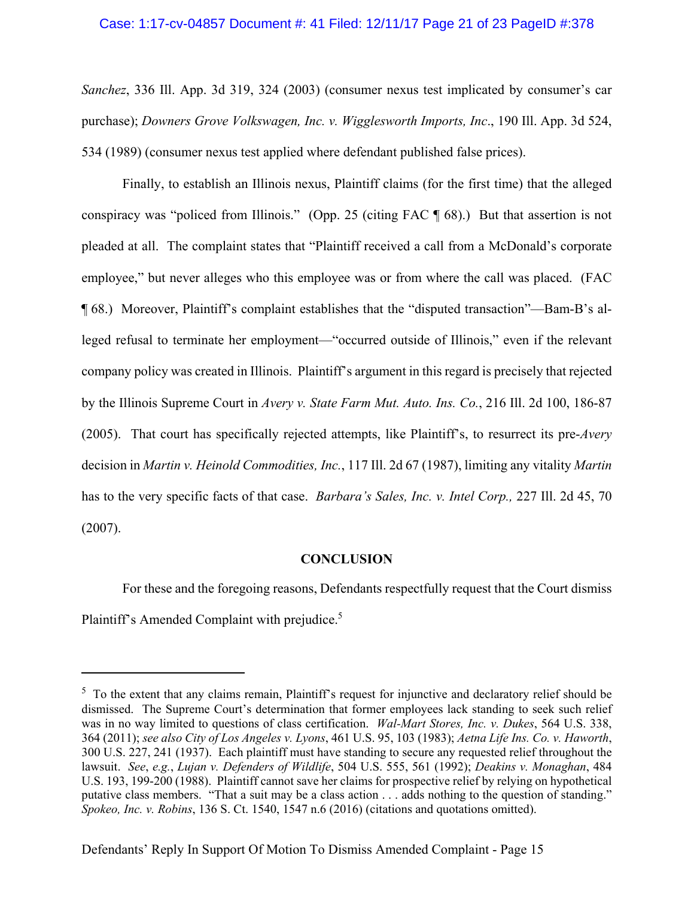### Case: 1:17-cv-04857 Document #: 41 Filed: 12/11/17 Page 21 of 23 PageID #:378

*Sanchez*, 336 Ill. App. 3d 319, 324 (2003) (consumer nexus test implicated by consumer's car purchase); *Downers Grove Volkswagen, Inc. v. Wigglesworth Imports, Inc*., 190 Ill. App. 3d 524, 534 (1989) (consumer nexus test applied where defendant published false prices).

Finally, to establish an Illinois nexus, Plaintiff claims (for the first time) that the alleged conspiracy was "policed from Illinois." (Opp. 25 (citing FAC ¶ 68).) But that assertion is not pleaded at all. The complaint states that "Plaintiff received a call from a McDonald's corporate employee," but never alleges who this employee was or from where the call was placed. (FAC ¶ 68.) Moreover, Plaintiff's complaint establishes that the "disputed transaction"—Bam-B's alleged refusal to terminate her employment—"occurred outside of Illinois," even if the relevant company policy was created in Illinois. Plaintiff's argument in this regard is precisely that rejected by the Illinois Supreme Court in *Avery v. State Farm Mut. Auto. Ins. Co.*, 216 Ill. 2d 100, 186-87 (2005). That court has specifically rejected attempts, like Plaintiff's, to resurrect its pre-*Avery*  decision in *Martin v. Heinold Commodities, Inc.*, 117 Ill. 2d 67 (1987), limiting any vitality *Martin*  has to the very specific facts of that case. *Barbara's Sales, Inc. v. Intel Corp.,* 227 Ill. 2d 45, 70 (2007).

#### **CONCLUSION**

For these and the foregoing reasons, Defendants respectfully request that the Court dismiss Plaintiff's Amended Complaint with prejudice.<sup>5</sup>

 $\overline{a}$ 

<sup>&</sup>lt;sup>5</sup> To the extent that any claims remain, Plaintiff's request for injunctive and declaratory relief should be dismissed. The Supreme Court's determination that former employees lack standing to seek such relief was in no way limited to questions of class certification. *Wal-Mart Stores, Inc. v. Dukes*, 564 U.S. 338, 364 (2011); *see also City of Los Angeles v. Lyons*, 461 U.S. 95, 103 (1983); *Aetna Life Ins. Co. v. Haworth*, 300 U.S. 227, 241 (1937). Each plaintiff must have standing to secure any requested relief throughout the lawsuit. *See*, *e.g.*, *Lujan v. Defenders of Wildlife*, 504 U.S. 555, 561 (1992); *Deakins v. Monaghan*, 484 U.S. 193, 199-200 (1988). Plaintiff cannot save her claims for prospective relief by relying on hypothetical putative class members. "That a suit may be a class action . . . adds nothing to the question of standing." *Spokeo, Inc. v. Robins*, 136 S. Ct. 1540, 1547 n.6 (2016) (citations and quotations omitted).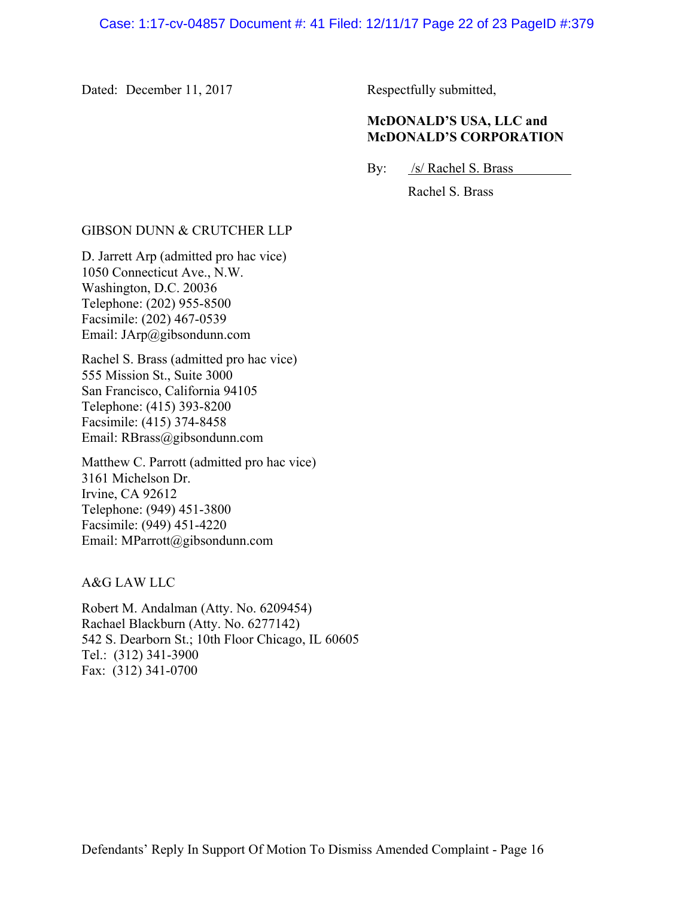Dated: December 11, 2017 Respectfully submitted,

## **McDONALD'S USA, LLC and McDONALD'S CORPORATION**

By: /s/ Rachel S. Brass

Rachel S. Brass

### GIBSON DUNN & CRUTCHER LLP

D. Jarrett Arp (admitted pro hac vice) 1050 Connecticut Ave., N.W. Washington, D.C. 20036 Telephone: (202) 955-8500 Facsimile: (202) 467-0539 Email: JArp@gibsondunn.com

Rachel S. Brass (admitted pro hac vice) 555 Mission St., Suite 3000 San Francisco, California 94105 Telephone: (415) 393-8200 Facsimile: (415) 374-8458 Email: RBrass@gibsondunn.com

Matthew C. Parrott (admitted pro hac vice) 3161 Michelson Dr. Irvine, CA 92612 Telephone: (949) 451-3800 Facsimile: (949) 451-4220 Email: MParrott@gibsondunn.com

A&G LAW LLC

Robert M. Andalman (Atty. No. 6209454) Rachael Blackburn (Atty. No. 6277142) 542 S. Dearborn St.; 10th Floor Chicago, IL 60605 Tel.: (312) 341-3900 Fax: (312) 341-0700